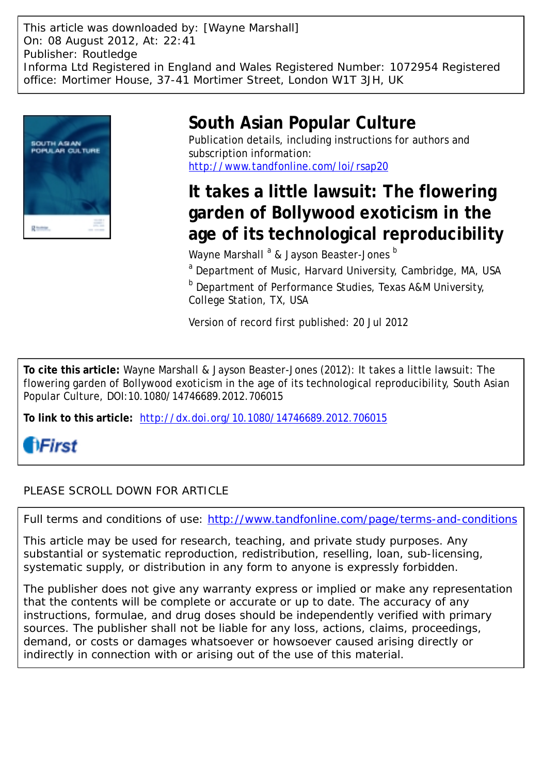This article was downloaded by: [Wayne Marshall] On: 08 August 2012, At: 22:41 Publisher: Routledge Informa Ltd Registered in England and Wales Registered Number: 1072954 Registered office: Mortimer House, 37-41 Mortimer Street, London W1T 3JH, UK



# **South Asian Popular Culture**

Publication details, including instructions for authors and subscription information: <http://www.tandfonline.com/loi/rsap20>

# **It takes a little lawsuit: The flowering garden of Bollywood exoticism in the age of its technological reproducibility**

Wayne Marshall <sup>a</sup> & Jayson Beaster-Jones <sup>b</sup>

<sup>a</sup> Department of Music, Harvard University, Cambridge, MA, USA

**b** Department of Performance Studies, Texas A&M University, College Station, TX, USA

Version of record first published: 20 Jul 2012

**To cite this article:** Wayne Marshall & Jayson Beaster-Jones (2012): It takes a little lawsuit: The flowering garden of Bollywood exoticism in the age of its technological reproducibility, South Asian Popular Culture, DOI:10.1080/14746689.2012.706015

**To link to this article:** <http://dx.doi.org/10.1080/14746689.2012.706015>



# PLEASE SCROLL DOWN FOR ARTICLE

Full terms and conditions of use:<http://www.tandfonline.com/page/terms-and-conditions>

This article may be used for research, teaching, and private study purposes. Any substantial or systematic reproduction, redistribution, reselling, loan, sub-licensing, systematic supply, or distribution in any form to anyone is expressly forbidden.

The publisher does not give any warranty express or implied or make any representation that the contents will be complete or accurate or up to date. The accuracy of any instructions, formulae, and drug doses should be independently verified with primary sources. The publisher shall not be liable for any loss, actions, claims, proceedings, demand, or costs or damages whatsoever or howsoever caused arising directly or indirectly in connection with or arising out of the use of this material.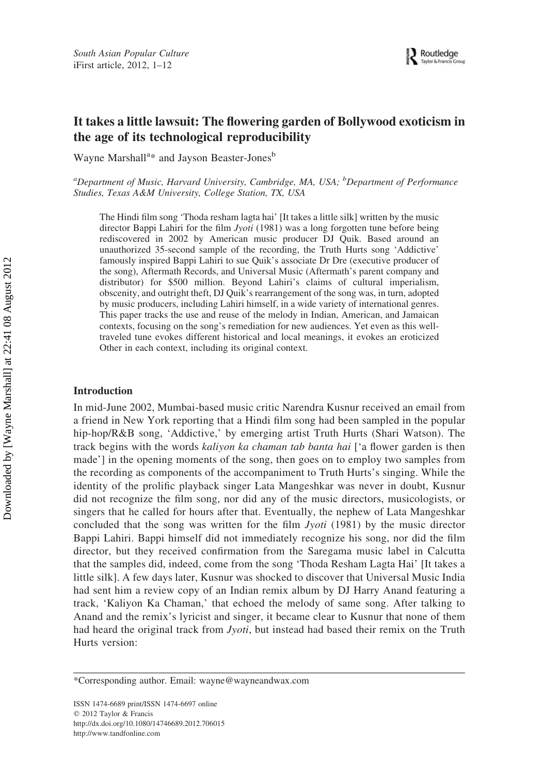# It takes a little lawsuit: The flowering garden of Bollywood exoticism in the age of its technological reproducibility

Wayne Marshall<sup>a\*</sup> and Jayson Beaster-Jones<sup>b</sup>

<sup>a</sup>Department of Music, Harvard University, Cambridge, MA, USA; <sup>b</sup>Department of Performance Studies, Texas A&M University, College Station, TX, USA

The Hindi film song 'Thoda resham lagta hai' [It takes a little silk] written by the music director Bappi Lahiri for the film *Jyoti* (1981) was a long forgotten tune before being rediscovered in 2002 by American music producer DJ Quik. Based around an unauthorized 35-second sample of the recording, the Truth Hurts song 'Addictive' famously inspired Bappi Lahiri to sue Quik's associate Dr Dre (executive producer of the song), Aftermath Records, and Universal Music (Aftermath's parent company and distributor) for \$500 million. Beyond Lahiri's claims of cultural imperialism, obscenity, and outright theft, DJ Quik's rearrangement of the song was, in turn, adopted by music producers, including Lahiri himself, in a wide variety of international genres. This paper tracks the use and reuse of the melody in Indian, American, and Jamaican contexts, focusing on the song's remediation for new audiences. Yet even as this welltraveled tune evokes different historical and local meanings, it evokes an eroticized Other in each context, including its original context.

### Introduction

In mid-June 2002, Mumbai-based music critic Narendra Kusnur received an email from a friend in New York reporting that a Hindi film song had been sampled in the popular hip-hop/R&B song, 'Addictive,' by emerging artist Truth Hurts (Shari Watson). The track begins with the words *kaliyon ka chaman tab banta hai* ['a flower garden is then made'] in the opening moments of the song, then goes on to employ two samples from the recording as components of the accompaniment to Truth Hurts's singing. While the identity of the prolific playback singer Lata Mangeshkar was never in doubt, Kusnur did not recognize the film song, nor did any of the music directors, musicologists, or singers that he called for hours after that. Eventually, the nephew of Lata Mangeshkar concluded that the song was written for the film Jyoti (1981) by the music director Bappi Lahiri. Bappi himself did not immediately recognize his song, nor did the film director, but they received confirmation from the Saregama music label in Calcutta that the samples did, indeed, come from the song 'Thoda Resham Lagta Hai' [It takes a little silk]. A few days later, Kusnur was shocked to discover that Universal Music India had sent him a review copy of an Indian remix album by DJ Harry Anand featuring a track, 'Kaliyon Ka Chaman,' that echoed the melody of same song. After talking to Anand and the remix's lyricist and singer, it became clear to Kusnur that none of them had heard the original track from *Jyoti*, but instead had based their remix on the Truth Hurts version:

<sup>\*</sup>Corresponding author. Email: wayne@wayneandwax.com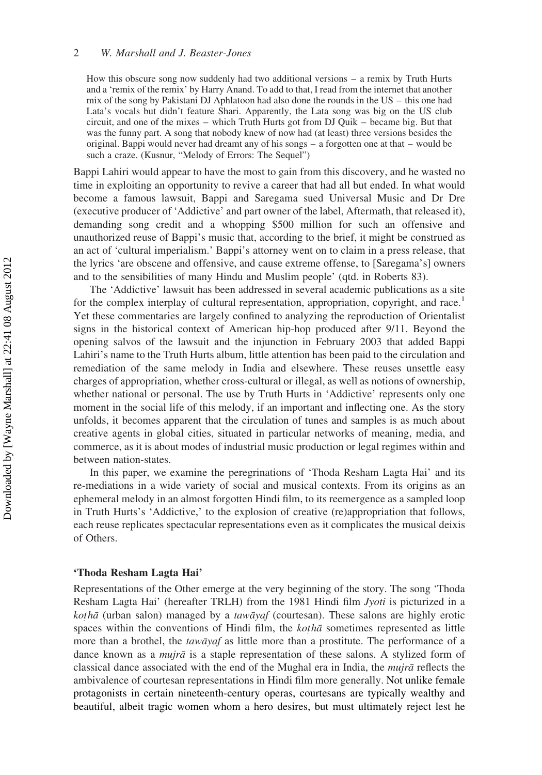## 2 W. Marshall and J. Beaster-Jones

How this obscure song now suddenly had two additional versions – a remix by Truth Hurts and a 'remix of the remix' by Harry Anand. To add to that, I read from the internet that another mix of the song by Pakistani DJ Aphlatoon had also done the rounds in the US – this one had Lata's vocals but didn't feature Shari. Apparently, the Lata song was big on the US club circuit, and one of the mixes – which Truth Hurts got from DJ Quik – became big. But that was the funny part. A song that nobody knew of now had (at least) three versions besides the original. Bappi would never had dreamt any of his songs – a forgotten one at that – would be such a craze. (Kusnur, "Melody of Errors: The Sequel")

Bappi Lahiri would appear to have the most to gain from this discovery, and he wasted no time in exploiting an opportunity to revive a career that had all but ended. In what would become a famous lawsuit, Bappi and Saregama sued Universal Music and Dr Dre (executive producer of 'Addictive' and part owner of the label, Aftermath, that released it), demanding song credit and a whopping \$500 million for such an offensive and unauthorized reuse of Bappi's music that, according to the brief, it might be construed as an act of 'cultural imperialism.' Bappi's attorney went on to claim in a press release, that the lyrics 'are obscene and offensive, and cause extreme offense, to [Saregama's] owners and to the sensibilities of many Hindu and Muslim people' (qtd. in Roberts 83).

The 'Addictive' lawsuit has been addressed in several academic publications as a site for the complex interplay of cultural representation, appropriation, copyright, and race.<sup>1</sup> Yet these commentaries are largely confined to analyzing the reproduction of Orientalist signs in the historical context of American hip-hop produced after 9/11. Beyond the opening salvos of the lawsuit and the injunction in February 2003 that added Bappi Lahiri's name to the Truth Hurts album, little attention has been paid to the circulation and remediation of the same melody in India and elsewhere. These reuses unsettle easy charges of appropriation, whether cross-cultural or illegal, as well as notions of ownership, whether national or personal. The use by Truth Hurts in 'Addictive' represents only one moment in the social life of this melody, if an important and inflecting one. As the story unfolds, it becomes apparent that the circulation of tunes and samples is as much about creative agents in global cities, situated in particular networks of meaning, media, and commerce, as it is about modes of industrial music production or legal regimes within and between nation-states.

In this paper, we examine the peregrinations of 'Thoda Resham Lagta Hai' and its re-mediations in a wide variety of social and musical contexts. From its origins as an ephemeral melody in an almost forgotten Hindi film, to its reemergence as a sampled loop in Truth Hurts's 'Addictive,' to the explosion of creative (re)appropriation that follows, each reuse replicates spectacular representations even as it complicates the musical deixis of Others.

## 'Thoda Resham Lagta Hai'

Representations of the Other emerge at the very beginning of the story. The song 'Thoda Resham Lagta Hai' (hereafter TRLH) from the 1981 Hindi film Jyoti is picturized in a  $koth\bar{a}$  (urban salon) managed by a  $taw\bar{a}yaf$  (courtesan). These salons are highly erotic spaces within the conventions of Hindi film, the *kotha* sometimes represented as little more than a brothel, the *tawayaf* as little more than a prostitute. The performance of a dance known as a *mujra* is a staple representation of these salons. A stylized form of classical dance associated with the end of the Mughal era in India, the  $mujr\bar{a}$  reflects the ambivalence of courtesan representations in Hindi film more generally. Not unlike female protagonists in certain nineteenth-century operas, courtesans are typically wealthy and beautiful, albeit tragic women whom a hero desires, but must ultimately reject lest he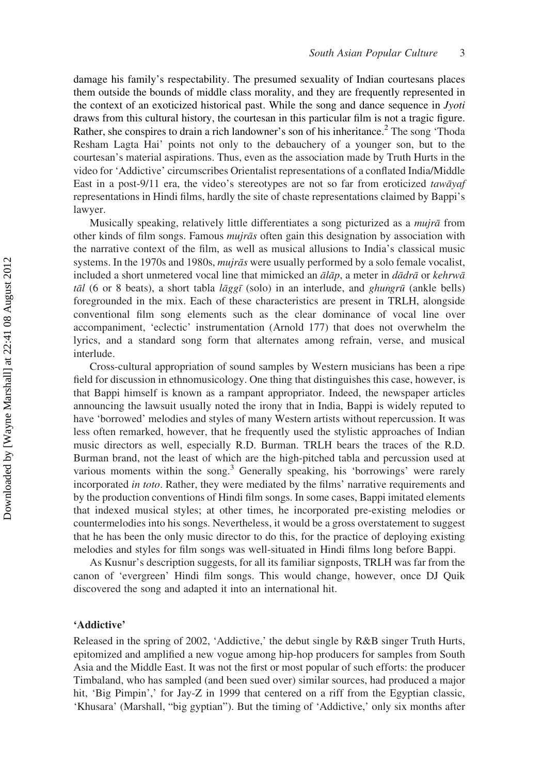damage his family's respectability. The presumed sexuality of Indian courtesans places them outside the bounds of middle class morality, and they are frequently represented in the context of an exoticized historical past. While the song and dance sequence in Jyoti draws from this cultural history, the courtesan in this particular film is not a tragic figure. Rather, she conspires to drain a rich landowner's son of his inheritance.<sup>2</sup> The song 'Thoda Resham Lagta Hai' points not only to the debauchery of a younger son, but to the courtesan's material aspirations. Thus, even as the association made by Truth Hurts in the video for 'Addictive' circumscribes Orientalist representations of a conflated India/Middle East in a post-9/11 era, the video's stereotypes are not so far from eroticized tawayaf representations in Hindi films, hardly the site of chaste representations claimed by Bappi's lawyer.

Musically speaking, relatively little differentiates a song picturized as a *mujra* from other kinds of film songs. Famous *mujrās* often gain this designation by association with the narrative context of the film, as well as musical allusions to India's classical music systems. In the 1970s and 1980s,  $mujr\bar{a}s$  were usually performed by a solo female vocalist, included a short unmetered vocal line that mimicked an  $\bar{a}l\bar{a}p$ , a meter in  $\bar{d}\bar{a}d\bar{r}\bar{a}$  or kehrwa tāl (6 or 8 beats), a short tabla lāggī (solo) in an interlude, and ghungrū (ankle bells) foregrounded in the mix. Each of these characteristics are present in TRLH, alongside conventional film song elements such as the clear dominance of vocal line over accompaniment, 'eclectic' instrumentation (Arnold 177) that does not overwhelm the lyrics, and a standard song form that alternates among refrain, verse, and musical interlude.

Cross-cultural appropriation of sound samples by Western musicians has been a ripe field for discussion in ethnomusicology. One thing that distinguishes this case, however, is that Bappi himself is known as a rampant appropriator. Indeed, the newspaper articles announcing the lawsuit usually noted the irony that in India, Bappi is widely reputed to have 'borrowed' melodies and styles of many Western artists without repercussion. It was less often remarked, however, that he frequently used the stylistic approaches of Indian music directors as well, especially R.D. Burman. TRLH bears the traces of the R.D. Burman brand, not the least of which are the high-pitched tabla and percussion used at various moments within the song.<sup>3</sup> Generally speaking, his 'borrowings' were rarely incorporated in toto. Rather, they were mediated by the films' narrative requirements and by the production conventions of Hindi film songs. In some cases, Bappi imitated elements that indexed musical styles; at other times, he incorporated pre-existing melodies or countermelodies into his songs. Nevertheless, it would be a gross overstatement to suggest that he has been the only music director to do this, for the practice of deploying existing melodies and styles for film songs was well-situated in Hindi films long before Bappi.

As Kusnur's description suggests, for all its familiar signposts, TRLH was far from the canon of 'evergreen' Hindi film songs. This would change, however, once DJ Quik discovered the song and adapted it into an international hit.

#### 'Addictive'

Released in the spring of 2002, 'Addictive,' the debut single by R&B singer Truth Hurts, epitomized and amplified a new vogue among hip-hop producers for samples from South Asia and the Middle East. It was not the first or most popular of such efforts: the producer Timbaland, who has sampled (and been sued over) similar sources, had produced a major hit, 'Big Pimpin',' for Jay-Z in 1999 that centered on a riff from the Egyptian classic, 'Khusara' (Marshall, "big gyptian"). But the timing of 'Addictive,' only six months after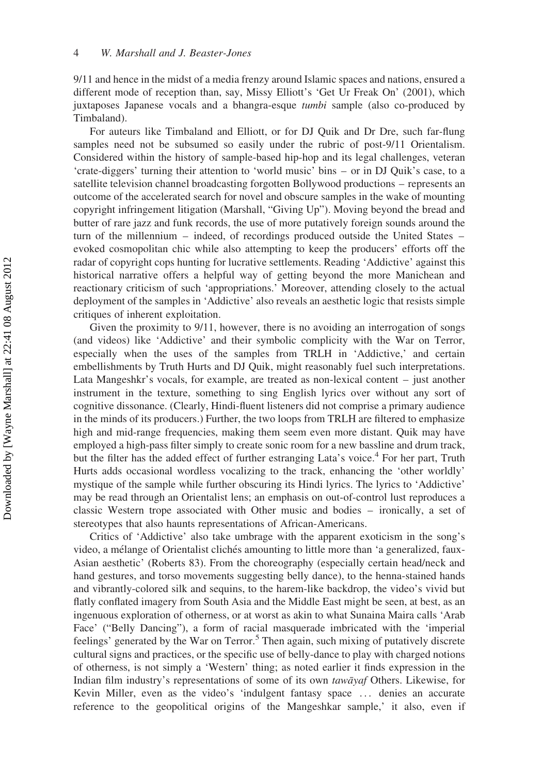9/11 and hence in the midst of a media frenzy around Islamic spaces and nations, ensured a different mode of reception than, say, Missy Elliott's 'Get Ur Freak On' (2001), which juxtaposes Japanese vocals and a bhangra-esque tumbi sample (also co-produced by Timbaland).

For auteurs like Timbaland and Elliott, or for DJ Quik and Dr Dre, such far-flung samples need not be subsumed so easily under the rubric of post-9/11 Orientalism. Considered within the history of sample-based hip-hop and its legal challenges, veteran 'crate-diggers' turning their attention to 'world music' bins – or in DJ Quik's case, to a satellite television channel broadcasting forgotten Bollywood productions – represents an outcome of the accelerated search for novel and obscure samples in the wake of mounting copyright infringement litigation (Marshall, "Giving Up"). Moving beyond the bread and butter of rare jazz and funk records, the use of more putatively foreign sounds around the turn of the millennium – indeed, of recordings produced outside the United States – evoked cosmopolitan chic while also attempting to keep the producers' efforts off the radar of copyright cops hunting for lucrative settlements. Reading 'Addictive' against this historical narrative offers a helpful way of getting beyond the more Manichean and reactionary criticism of such 'appropriations.' Moreover, attending closely to the actual deployment of the samples in 'Addictive' also reveals an aesthetic logic that resists simple critiques of inherent exploitation.

Given the proximity to 9/11, however, there is no avoiding an interrogation of songs (and videos) like 'Addictive' and their symbolic complicity with the War on Terror, especially when the uses of the samples from TRLH in 'Addictive,' and certain embellishments by Truth Hurts and DJ Quik, might reasonably fuel such interpretations. Lata Mangeshkr's vocals, for example, are treated as non-lexical content – just another instrument in the texture, something to sing English lyrics over without any sort of cognitive dissonance. (Clearly, Hindi-fluent listeners did not comprise a primary audience in the minds of its producers.) Further, the two loops from TRLH are filtered to emphasize high and mid-range frequencies, making them seem even more distant. Quik may have employed a high-pass filter simply to create sonic room for a new bassline and drum track, but the filter has the added effect of further estranging Lata's voice.<sup>4</sup> For her part, Truth Hurts adds occasional wordless vocalizing to the track, enhancing the 'other worldly' mystique of the sample while further obscuring its Hindi lyrics. The lyrics to 'Addictive' may be read through an Orientalist lens; an emphasis on out-of-control lust reproduces a classic Western trope associated with Other music and bodies – ironically, a set of stereotypes that also haunts representations of African-Americans.

Critics of 'Addictive' also take umbrage with the apparent exoticism in the song's video, a mélange of Orientalist clichés amounting to little more than 'a generalized, faux-Asian aesthetic' (Roberts 83). From the choreography (especially certain head/neck and hand gestures, and torso movements suggesting belly dance), to the henna-stained hands and vibrantly-colored silk and sequins, to the harem-like backdrop, the video's vivid but flatly conflated imagery from South Asia and the Middle East might be seen, at best, as an ingenuous exploration of otherness, or at worst as akin to what Sunaina Maira calls 'Arab Face' ("Belly Dancing"), a form of racial masquerade imbricated with the 'imperial feelings' generated by the War on Terror.<sup>5</sup> Then again, such mixing of putatively discrete cultural signs and practices, or the specific use of belly-dance to play with charged notions of otherness, is not simply a 'Western' thing; as noted earlier it finds expression in the Indian film industry's representations of some of its own *tawayaf* Others. Likewise, for Kevin Miller, even as the video's 'indulgent fantasy space ... denies an accurate reference to the geopolitical origins of the Mangeshkar sample,' it also, even if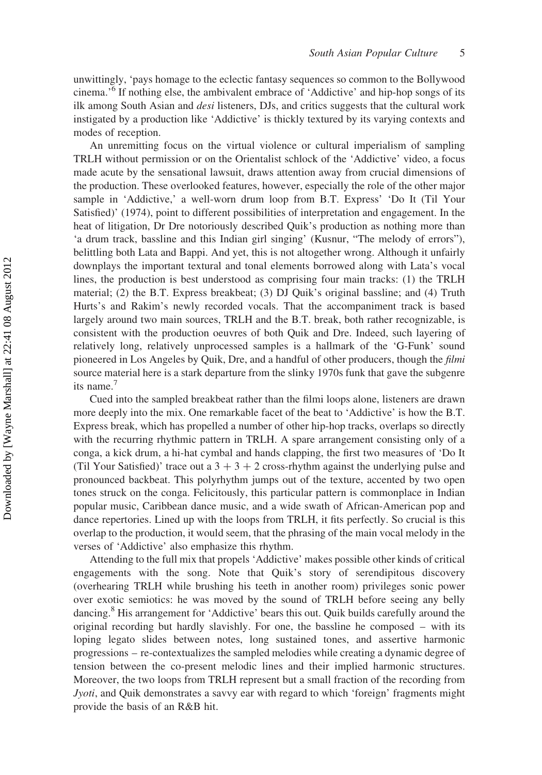unwittingly, 'pays homage to the eclectic fantasy sequences so common to the Bollywood cinema.'6 If nothing else, the ambivalent embrace of 'Addictive' and hip-hop songs of its ilk among South Asian and *desi* listeners, DJs, and critics suggests that the cultural work instigated by a production like 'Addictive' is thickly textured by its varying contexts and modes of reception.

An unremitting focus on the virtual violence or cultural imperialism of sampling TRLH without permission or on the Orientalist schlock of the 'Addictive' video, a focus made acute by the sensational lawsuit, draws attention away from crucial dimensions of the production. These overlooked features, however, especially the role of the other major sample in 'Addictive,' a well-worn drum loop from B.T. Express' 'Do It (Til Your Satisfied)' (1974), point to different possibilities of interpretation and engagement. In the heat of litigation, Dr Dre notoriously described Quik's production as nothing more than 'a drum track, bassline and this Indian girl singing' (Kusnur, "The melody of errors"), belittling both Lata and Bappi. And yet, this is not altogether wrong. Although it unfairly downplays the important textural and tonal elements borrowed along with Lata's vocal lines, the production is best understood as comprising four main tracks: (1) the TRLH material; (2) the B.T. Express breakbeat; (3) DJ Quik's original bassline; and (4) Truth Hurts's and Rakim's newly recorded vocals. That the accompaniment track is based largely around two main sources, TRLH and the B.T. break, both rather recognizable, is consistent with the production oeuvres of both Quik and Dre. Indeed, such layering of relatively long, relatively unprocessed samples is a hallmark of the 'G-Funk' sound pioneered in Los Angeles by Quik, Dre, and a handful of other producers, though the filmi source material here is a stark departure from the slinky 1970s funk that gave the subgenre its name.<sup>7</sup>

Cued into the sampled breakbeat rather than the filmi loops alone, listeners are drawn more deeply into the mix. One remarkable facet of the beat to 'Addictive' is how the B.T. Express break, which has propelled a number of other hip-hop tracks, overlaps so directly with the recurring rhythmic pattern in TRLH. A spare arrangement consisting only of a conga, a kick drum, a hi-hat cymbal and hands clapping, the first two measures of 'Do It (Til Your Satisfied)' trace out a  $3 + 3 + 2$  cross-rhythm against the underlying pulse and pronounced backbeat. This polyrhythm jumps out of the texture, accented by two open tones struck on the conga. Felicitously, this particular pattern is commonplace in Indian popular music, Caribbean dance music, and a wide swath of African-American pop and dance repertories. Lined up with the loops from TRLH, it fits perfectly. So crucial is this overlap to the production, it would seem, that the phrasing of the main vocal melody in the verses of 'Addictive' also emphasize this rhythm.

Attending to the full mix that propels 'Addictive' makes possible other kinds of critical engagements with the song. Note that Quik's story of serendipitous discovery (overhearing TRLH while brushing his teeth in another room) privileges sonic power over exotic semiotics: he was moved by the sound of TRLH before seeing any belly dancing.<sup>8</sup> His arrangement for 'Addictive' bears this out. Quik builds carefully around the original recording but hardly slavishly. For one, the bassline he composed – with its loping legato slides between notes, long sustained tones, and assertive harmonic progressions – re-contextualizes the sampled melodies while creating a dynamic degree of tension between the co-present melodic lines and their implied harmonic structures. Moreover, the two loops from TRLH represent but a small fraction of the recording from Jyoti, and Quik demonstrates a savvy ear with regard to which 'foreign' fragments might provide the basis of an R&B hit.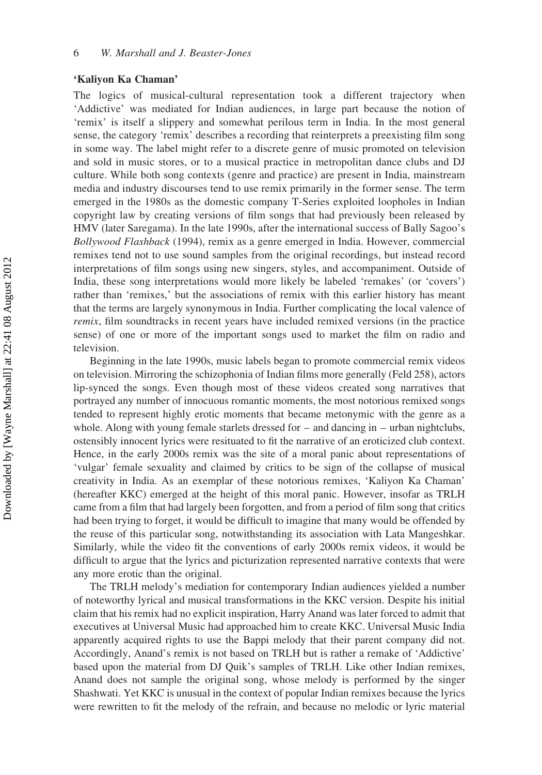#### 'Kaliyon Ka Chaman'

The logics of musical-cultural representation took a different trajectory when 'Addictive' was mediated for Indian audiences, in large part because the notion of 'remix' is itself a slippery and somewhat perilous term in India. In the most general sense, the category 'remix' describes a recording that reinterprets a preexisting film song in some way. The label might refer to a discrete genre of music promoted on television and sold in music stores, or to a musical practice in metropolitan dance clubs and DJ culture. While both song contexts (genre and practice) are present in India, mainstream media and industry discourses tend to use remix primarily in the former sense. The term emerged in the 1980s as the domestic company T-Series exploited loopholes in Indian copyright law by creating versions of film songs that had previously been released by HMV (later Saregama). In the late 1990s, after the international success of Bally Sagoo's Bollywood Flashback (1994), remix as a genre emerged in India. However, commercial remixes tend not to use sound samples from the original recordings, but instead record interpretations of film songs using new singers, styles, and accompaniment. Outside of India, these song interpretations would more likely be labeled 'remakes' (or 'covers') rather than 'remixes,' but the associations of remix with this earlier history has meant that the terms are largely synonymous in India. Further complicating the local valence of remix, film soundtracks in recent years have included remixed versions (in the practice sense) of one or more of the important songs used to market the film on radio and television.

Beginning in the late 1990s, music labels began to promote commercial remix videos on television. Mirroring the schizophonia of Indian films more generally (Feld 258), actors lip-synced the songs. Even though most of these videos created song narratives that portrayed any number of innocuous romantic moments, the most notorious remixed songs tended to represent highly erotic moments that became metonymic with the genre as a whole. Along with young female starlets dressed for  $-$  and dancing in  $-$  urban nightclubs, ostensibly innocent lyrics were resituated to fit the narrative of an eroticized club context. Hence, in the early 2000s remix was the site of a moral panic about representations of 'vulgar' female sexuality and claimed by critics to be sign of the collapse of musical creativity in India. As an exemplar of these notorious remixes, 'Kaliyon Ka Chaman' (hereafter KKC) emerged at the height of this moral panic. However, insofar as TRLH came from a film that had largely been forgotten, and from a period of film song that critics had been trying to forget, it would be difficult to imagine that many would be offended by the reuse of this particular song, notwithstanding its association with Lata Mangeshkar. Similarly, while the video fit the conventions of early 2000s remix videos, it would be difficult to argue that the lyrics and picturization represented narrative contexts that were any more erotic than the original.

The TRLH melody's mediation for contemporary Indian audiences yielded a number of noteworthy lyrical and musical transformations in the KKC version. Despite his initial claim that his remix had no explicit inspiration, Harry Anand was later forced to admit that executives at Universal Music had approached him to create KKC. Universal Music India apparently acquired rights to use the Bappi melody that their parent company did not. Accordingly, Anand's remix is not based on TRLH but is rather a remake of 'Addictive' based upon the material from DJ Quik's samples of TRLH. Like other Indian remixes, Anand does not sample the original song, whose melody is performed by the singer Shashwati. Yet KKC is unusual in the context of popular Indian remixes because the lyrics were rewritten to fit the melody of the refrain, and because no melodic or lyric material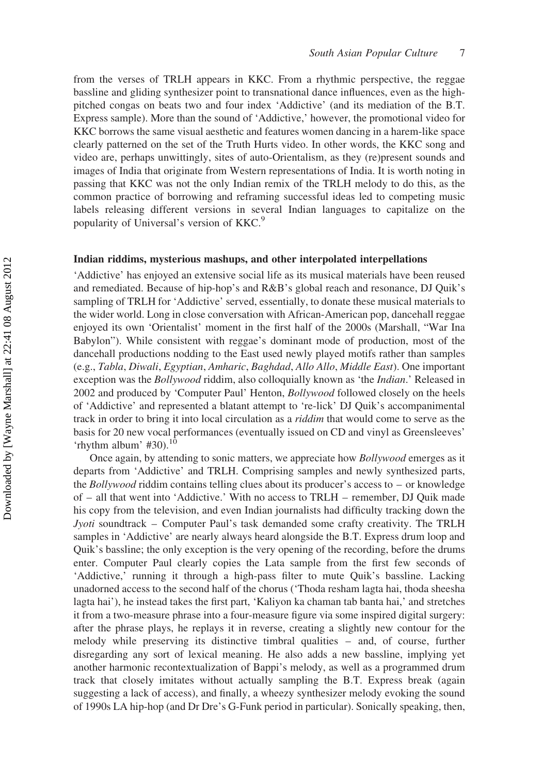from the verses of TRLH appears in KKC. From a rhythmic perspective, the reggae bassline and gliding synthesizer point to transnational dance influences, even as the highpitched congas on beats two and four index 'Addictive' (and its mediation of the B.T. Express sample). More than the sound of 'Addictive,' however, the promotional video for KKC borrows the same visual aesthetic and features women dancing in a harem-like space clearly patterned on the set of the Truth Hurts video. In other words, the KKC song and video are, perhaps unwittingly, sites of auto-Orientalism, as they (re)present sounds and images of India that originate from Western representations of India. It is worth noting in passing that KKC was not the only Indian remix of the TRLH melody to do this, as the common practice of borrowing and reframing successful ideas led to competing music labels releasing different versions in several Indian languages to capitalize on the popularity of Universal's version of KKC.<sup>9</sup>

### Indian riddims, mysterious mashups, and other interpolated interpellations

'Addictive' has enjoyed an extensive social life as its musical materials have been reused and remediated. Because of hip-hop's and R&B's global reach and resonance, DJ Quik's sampling of TRLH for 'Addictive' served, essentially, to donate these musical materials to the wider world. Long in close conversation with African-American pop, dancehall reggae enjoyed its own 'Orientalist' moment in the first half of the 2000s (Marshall, "War Ina Babylon"). While consistent with reggae's dominant mode of production, most of the dancehall productions nodding to the East used newly played motifs rather than samples (e.g., Tabla, Diwali, Egyptian, Amharic, Baghdad, Allo Allo, Middle East). One important exception was the *Bollywood* riddim, also colloquially known as 'the *Indian*.' Released in 2002 and produced by 'Computer Paul' Henton, Bollywood followed closely on the heels of 'Addictive' and represented a blatant attempt to 're-lick' DJ Quik's accompanimental track in order to bring it into local circulation as a riddim that would come to serve as the basis for 20 new vocal performances (eventually issued on CD and vinyl as Greensleeves' 'rhythm album'  $#30$ ).<sup>10</sup>

Once again, by attending to sonic matters, we appreciate how Bollywood emerges as it departs from 'Addictive' and TRLH. Comprising samples and newly synthesized parts, the Bollywood riddim contains telling clues about its producer's access to  $-$  or knowledge of – all that went into 'Addictive.' With no access to TRLH – remember, DJ Quik made his copy from the television, and even Indian journalists had difficulty tracking down the Jyoti soundtrack – Computer Paul's task demanded some crafty creativity. The TRLH samples in 'Addictive' are nearly always heard alongside the B.T. Express drum loop and Quik's bassline; the only exception is the very opening of the recording, before the drums enter. Computer Paul clearly copies the Lata sample from the first few seconds of 'Addictive,' running it through a high-pass filter to mute Quik's bassline. Lacking unadorned access to the second half of the chorus ('Thoda resham lagta hai, thoda sheesha lagta hai'), he instead takes the first part, 'Kaliyon ka chaman tab banta hai,' and stretches it from a two-measure phrase into a four-measure figure via some inspired digital surgery: after the phrase plays, he replays it in reverse, creating a slightly new contour for the melody while preserving its distinctive timbral qualities – and, of course, further disregarding any sort of lexical meaning. He also adds a new bassline, implying yet another harmonic recontextualization of Bappi's melody, as well as a programmed drum track that closely imitates without actually sampling the B.T. Express break (again suggesting a lack of access), and finally, a wheezy synthesizer melody evoking the sound of 1990s LA hip-hop (and Dr Dre's G-Funk period in particular). Sonically speaking, then,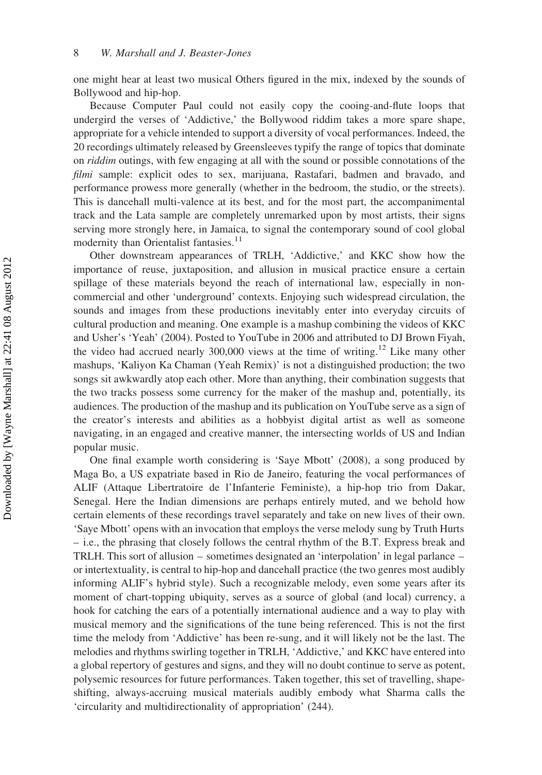one might hear at least two musical Others figured in the mix, indexed by the sounds of Bollywood and hip-hop.

Because Computer Paul could not easily copy the cooing-and-flute loops that undergird the verses of 'Addictive,' the Bollywood riddim takes a more spare shape, appropriate for a vehicle intended to support a diversity of vocal performances. Indeed, the 20 recordings ultimately released by Greensleeves typify the range of topics that dominate on riddim outings, with few engaging at all with the sound or possible connotations of the filmi sample: explicit odes to sex, marijuana, Rastafari, badmen and bravado, and performance prowess more generally (whether in the bedroom, the studio, or the streets). This is dancehall multi-valence at its best, and for the most part, the accompanimental track and the Lata sample are completely unremarked upon by most artists, their signs serving more strongly here, in Jamaica, to signal the contemporary sound of cool global modernity than Orientalist fantasies. $<sup>11</sup>$ </sup>

Other downstream appearances of TRLH, 'Addictive,' and KKC show how the importance of reuse, juxtaposition, and allusion in musical practice ensure a certain spillage of these materials beyond the reach of international law, especially in noncommercial and other 'underground' contexts. Enjoying such widespread circulation, the sounds and images from these productions inevitably enter into everyday circuits of cultural production and meaning. One example is a mashup combining the videos of KKC and Usher's 'Yeah' (2004). Posted to YouTube in 2006 and attributed to DJ Brown Fiyah, the video had accrued nearly 300,000 views at the time of writing.<sup>12</sup> Like many other mashups, 'Kaliyon Ka Chaman (Yeah Remix)' is not a distinguished production; the two songs sit awkwardly atop each other. More than anything, their combination suggests that the two tracks possess some currency for the maker of the mashup and, potentially, its audiences. The production of the mashup and its publication on YouTube serve as a sign of the creator's interests and abilities as a hobbyist digital artist as well as someone navigating, in an engaged and creative manner, the intersecting worlds of US and Indian popular music.

One final example worth considering is 'Saye Mbott' (2008), a song produced by Maga Bo, a US expatriate based in Rio de Janeiro, featuring the vocal performances of ALIF (Attaque Libertratoire de l'Infanterie Feministe), a hip-hop trio from Dakar, Senegal. Here the Indian dimensions are perhaps entirely muted, and we behold how certain elements of these recordings travel separately and take on new lives of their own. 'Saye Mbott' opens with an invocation that employs the verse melody sung by Truth Hurts – i.e., the phrasing that closely follows the central rhythm of the B.T. Express break and TRLH. This sort of allusion – sometimes designated an 'interpolation' in legal parlance – or intertextuality, is central to hip-hop and dancehall practice (the two genres most audibly informing ALIF's hybrid style). Such a recognizable melody, even some years after its moment of chart-topping ubiquity, serves as a source of global (and local) currency, a hook for catching the ears of a potentially international audience and a way to play with musical memory and the significations of the tune being referenced. This is not the first time the melody from 'Addictive' has been re-sung, and it will likely not be the last. The melodies and rhythms swirling together in TRLH, 'Addictive,' and KKC have entered into a global repertory of gestures and signs, and they will no doubt continue to serve as potent, polysemic resources for future performances. Taken together, this set of travelling, shapeshifting, always-accruing musical materials audibly embody what Sharma calls the 'circularity and multidirectionality of appropriation' (244).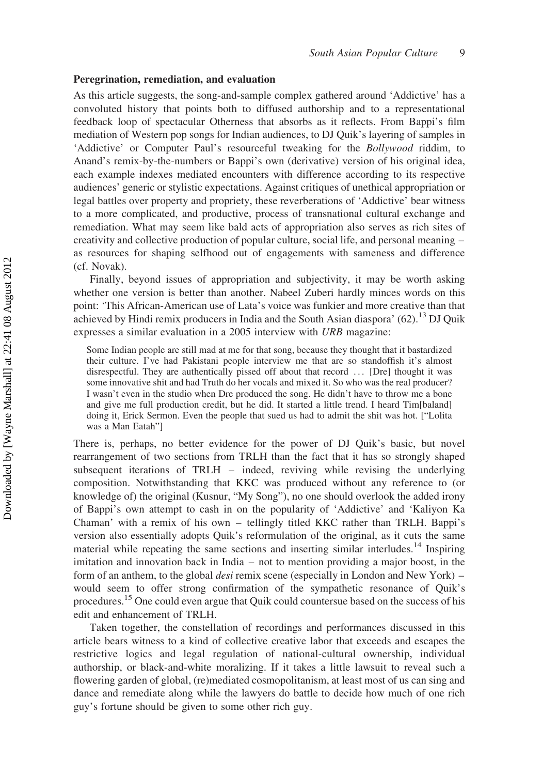#### Peregrination, remediation, and evaluation

As this article suggests, the song-and-sample complex gathered around 'Addictive' has a convoluted history that points both to diffused authorship and to a representational feedback loop of spectacular Otherness that absorbs as it reflects. From Bappi's film mediation of Western pop songs for Indian audiences, to DJ Quik's layering of samples in 'Addictive' or Computer Paul's resourceful tweaking for the Bollywood riddim, to Anand's remix-by-the-numbers or Bappi's own (derivative) version of his original idea, each example indexes mediated encounters with difference according to its respective audiences' generic or stylistic expectations. Against critiques of unethical appropriation or legal battles over property and propriety, these reverberations of 'Addictive' bear witness to a more complicated, and productive, process of transnational cultural exchange and remediation. What may seem like bald acts of appropriation also serves as rich sites of creativity and collective production of popular culture, social life, and personal meaning – as resources for shaping selfhood out of engagements with sameness and difference (cf. Novak).

Finally, beyond issues of appropriation and subjectivity, it may be worth asking whether one version is better than another. Nabeel Zuberi hardly minces words on this point: 'This African-American use of Lata's voice was funkier and more creative than that achieved by Hindi remix producers in India and the South Asian diaspora'  $(62)$ .<sup>13</sup> DJ Quik expresses a similar evaluation in a 2005 interview with URB magazine:

Some Indian people are still mad at me for that song, because they thought that it bastardized their culture. I've had Pakistani people interview me that are so standoffish it's almost disrespectful. They are authentically pissed off about that record ... [Dre] thought it was some innovative shit and had Truth do her vocals and mixed it. So who was the real producer? I wasn't even in the studio when Dre produced the song. He didn't have to throw me a bone and give me full production credit, but he did. It started a little trend. I heard Tim[baland] doing it, Erick Sermon. Even the people that sued us had to admit the shit was hot. ["Lolita was a Man Eatah"]

There is, perhaps, no better evidence for the power of DJ Quik's basic, but novel rearrangement of two sections from TRLH than the fact that it has so strongly shaped subsequent iterations of TRLH – indeed, reviving while revising the underlying composition. Notwithstanding that KKC was produced without any reference to (or knowledge of) the original (Kusnur, "My Song"), no one should overlook the added irony of Bappi's own attempt to cash in on the popularity of 'Addictive' and 'Kaliyon Ka Chaman' with a remix of his own – tellingly titled KKC rather than TRLH. Bappi's version also essentially adopts Quik's reformulation of the original, as it cuts the same material while repeating the same sections and inserting similar interludes.<sup>14</sup> Inspiring imitation and innovation back in India – not to mention providing a major boost, in the form of an anthem, to the global *desi* remix scene (especially in London and New York) – would seem to offer strong confirmation of the sympathetic resonance of Quik's procedures.<sup>15</sup> One could even argue that Quik could countersue based on the success of his edit and enhancement of TRLH.

Taken together, the constellation of recordings and performances discussed in this article bears witness to a kind of collective creative labor that exceeds and escapes the restrictive logics and legal regulation of national-cultural ownership, individual authorship, or black-and-white moralizing. If it takes a little lawsuit to reveal such a flowering garden of global, (re)mediated cosmopolitanism, at least most of us can sing and dance and remediate along while the lawyers do battle to decide how much of one rich guy's fortune should be given to some other rich guy.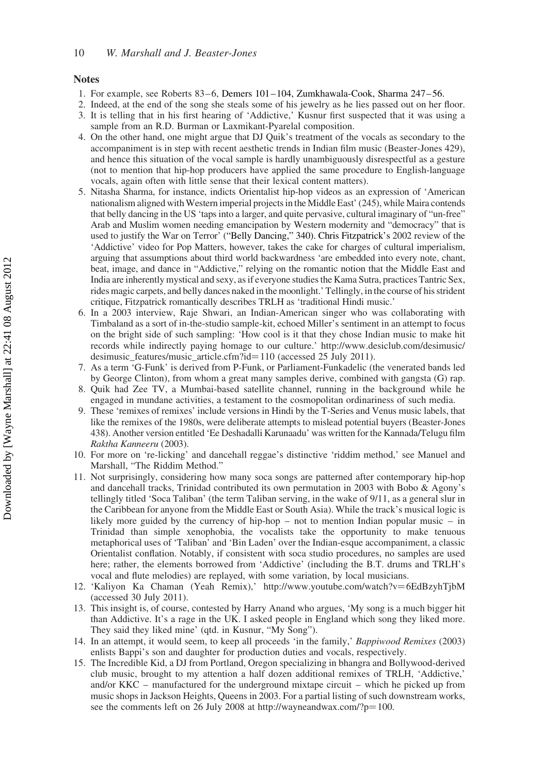#### **Notes**

- 1. For example, see Roberts 83 6, Demers 101– 104, Zumkhawala-Cook, Sharma 247– 56.
- 2. Indeed, at the end of the song she steals some of his jewelry as he lies passed out on her floor.
- 3. It is telling that in his first hearing of 'Addictive,' Kusnur first suspected that it was using a sample from an R.D. Burman or Laxmikant-Pyarelal composition.
- 4. On the other hand, one might argue that DJ Quik's treatment of the vocals as secondary to the accompaniment is in step with recent aesthetic trends in Indian film music (Beaster-Jones 429), and hence this situation of the vocal sample is hardly unambiguously disrespectful as a gesture (not to mention that hip-hop producers have applied the same procedure to English-language vocals, again often with little sense that their lexical content matters).
- 5. Nitasha Sharma, for instance, indicts Orientalist hip-hop videos as an expression of 'American nationalism aligned with Western imperial projects in the Middle East' (245), while Maira contends that belly dancing in the US 'taps into a larger, and quite pervasive, cultural imaginary of "un-free" Arab and Muslim women needing emancipation by Western modernity and "democracy" that is used to justify the War on Terror' ("Belly Dancing," 340). Chris Fitzpatrick's 2002 review of the 'Addictive' video for Pop Matters, however, takes the cake for charges of cultural imperialism, arguing that assumptions about third world backwardness 'are embedded into every note, chant, beat, image, and dance in "Addictive," relying on the romantic notion that the Middle East and India are inherently mystical and sexy, as if everyone studies the Kama Sutra, practices Tantric Sex, rides magic carpets, and belly dances naked in the moonlight.' Tellingly, in the course of his strident critique, Fitzpatrick romantically describes TRLH as 'traditional Hindi music.'
- 6. In a 2003 interview, Raje Shwari, an Indian-American singer who was collaborating with Timbaland as a sort of in-the-studio sample-kit, echoed Miller's sentiment in an attempt to focus on the bright side of such sampling: 'How cool is it that they chose Indian music to make hit records while indirectly paying homage to our culture.' http://www.desiclub.com/desimusic/ desimusic\_features/music\_article.cfm?id=110 (accessed 25 July 2011).
- 7. As a term 'G-Funk' is derived from P-Funk, or Parliament-Funkadelic (the venerated bands led by George Clinton), from whom a great many samples derive, combined with gangsta (G) rap.
- 8. Quik had Zee TV, a Mumbai-based satellite channel, running in the background while he engaged in mundane activities, a testament to the cosmopolitan ordinariness of such media.
- 9. These 'remixes of remixes' include versions in Hindi by the T-Series and Venus music labels, that like the remixes of the 1980s, were deliberate attempts to mislead potential buyers (Beaster-Jones 438). Another version entitled 'Ee Deshadalli Karunaadu' was written for the Kannada/Telugu film Raktha Kanneeru (2003).
- 10. For more on 're-licking' and dancehall reggae's distinctive 'riddim method,' see Manuel and Marshall, "The Riddim Method."
- 11. Not surprisingly, considering how many soca songs are patterned after contemporary hip-hop and dancehall tracks, Trinidad contributed its own permutation in 2003 with Bobo & Agony's tellingly titled 'Soca Taliban' (the term Taliban serving, in the wake of 9/11, as a general slur in the Caribbean for anyone from the Middle East or South Asia). While the track's musical logic is likely more guided by the currency of hip-hop – not to mention Indian popular music – in Trinidad than simple xenophobia, the vocalists take the opportunity to make tenuous metaphorical uses of 'Taliban' and 'Bin Laden' over the Indian-esque accompaniment, a classic Orientalist conflation. Notably, if consistent with soca studio procedures, no samples are used here; rather, the elements borrowed from 'Addictive' (including the B.T. drums and TRLH's vocal and flute melodies) are replayed, with some variation, by local musicians.
- 12. 'Kaliyon Ka Chaman (Yeah Remix),' http://www.youtube.com/watch?v=6EdBzyhTjbM (accessed 30 July 2011).
- 13. This insight is, of course, contested by Harry Anand who argues, 'My song is a much bigger hit than Addictive. It's a rage in the UK. I asked people in England which song they liked more. They said they liked mine' (qtd. in Kusnur, "My Song").
- 14. In an attempt, it would seem, to keep all proceeds 'in the family,' Bappiwood Remixes (2003) enlists Bappi's son and daughter for production duties and vocals, respectively.
- 15. The Incredible Kid, a DJ from Portland, Oregon specializing in bhangra and Bollywood-derived club music, brought to my attention a half dozen additional remixes of TRLH, 'Addictive,' and/or KKC – manufactured for the underground mixtape circuit – which he picked up from music shops in Jackson Heights, Queens in 2003. For a partial listing of such downstream works, see the comments left on 26 July 2008 at http://wayneandwax.com/?p=100.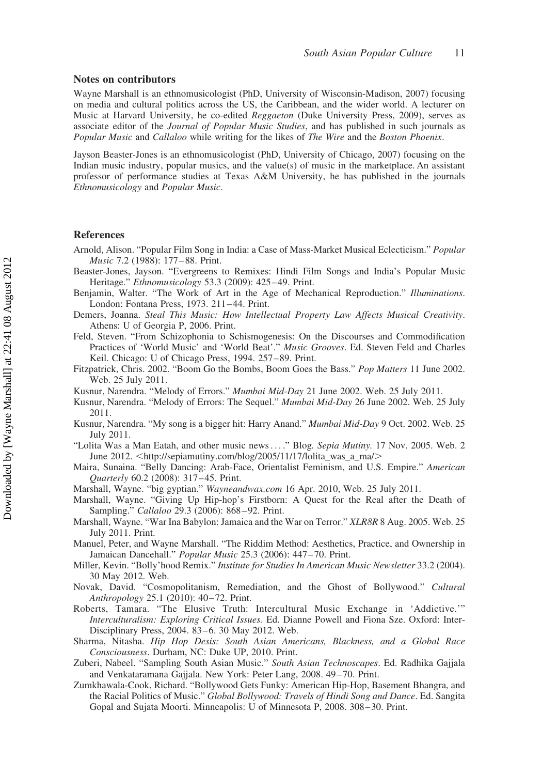#### Notes on contributors

Wayne Marshall is an ethnomusicologist (PhD, University of Wisconsin-Madison, 2007) focusing on media and cultural politics across the US, the Caribbean, and the wider world. A lecturer on Music at Harvard University, he co-edited Reggaeton (Duke University Press, 2009), serves as associate editor of the Journal of Popular Music Studies, and has published in such journals as Popular Music and Callaloo while writing for the likes of The Wire and the Boston Phoenix.

Jayson Beaster-Jones is an ethnomusicologist (PhD, University of Chicago, 2007) focusing on the Indian music industry, popular musics, and the value(s) of music in the marketplace. An assistant professor of performance studies at Texas A&M University, he has published in the journals Ethnomusicology and Popular Music.

#### **References**

- Arnold, Alison. "Popular Film Song in India: a Case of Mass-Market Musical Eclecticism." Popular Music 7.2 (1988): 177– 88. Print.
- Beaster-Jones, Jayson. "Evergreens to Remixes: Hindi Film Songs and India's Popular Music Heritage." *Ethnomusicology* 53.3 (2009): 425-49. Print.
- Benjamin, Walter. "The Work of Art in the Age of Mechanical Reproduction." Illuminations. London: Fontana Press, 1973. 211–44. Print.
- Demers, Joanna. Steal This Music: How Intellectual Property Law Affects Musical Creativity. Athens: U of Georgia P, 2006. Print.

Feld, Steven. "From Schizophonia to Schismogenesis: On the Discourses and Commodification Practices of 'World Music' and 'World Beat'." Music Grooves. Ed. Steven Feld and Charles Keil. Chicago: U of Chicago Press, 1994. 257–89. Print.

- Fitzpatrick, Chris. 2002. "Boom Go the Bombs, Boom Goes the Bass." Pop Matters 11 June 2002. Web. 25 July 2011.
- Kusnur, Narendra. "Melody of Errors." Mumbai Mid-Day 21 June 2002. Web. 25 July 2011.
- Kusnur, Narendra. "Melody of Errors: The Sequel." Mumbai Mid-Day 26 June 2002. Web. 25 July 2011.
- Kusnur, Narendra. "My song is a bigger hit: Harry Anand." Mumbai Mid-Day 9 Oct. 2002. Web. 25 July 2011.
- "Lolita Was a Man Eatah, and other music news... ." Blog. Sepia Mutiny. 17 Nov. 2005. Web. 2 June 2012.  $\kappa$ [http://sepiamutiny.com/blog/2005/11/17/lolita\\_was\\_a\\_ma/](http://sepiamutiny.com/blog/2005/11/17/lolita_was_a_ma/) $\kappa$
- Maira, Sunaina. "Belly Dancing: Arab-Face, Orientalist Feminism, and U.S. Empire." American Quarterly 60.2 (2008): 317–45. Print.
- Marshall, Wayne. "big gyptian." Wayneandwax.com 16 Apr. 2010, Web. 25 July 2011.
- Marshall, Wayne. "Giving Up Hip-hop's Firstborn: A Quest for the Real after the Death of Sampling." Callaloo 29.3 (2006): 868-92. Print.
- Marshall, Wayne. "War Ina Babylon: Jamaica and the War on Terror." XLR8R 8 Aug. 2005. Web. 25 July 2011. Print.
- Manuel, Peter, and Wayne Marshall. "The Riddim Method: Aesthetics, Practice, and Ownership in Jamaican Dancehall." Popular Music 25.3 (2006): 447– 70. Print.
- Miller, Kevin. "Bolly'hood Remix." Institute for Studies In American Music Newsletter 33.2 (2004). 30 May 2012. Web.
- Novak, David. "Cosmopolitanism, Remediation, and the Ghost of Bollywood." Cultural Anthropology 25.1 (2010): 40-72. Print.
- Roberts, Tamara. "The Elusive Truth: Intercultural Music Exchange in 'Addictive.'" Interculturalism: Exploring Critical Issues. Ed. Dianne Powell and Fiona Sze. Oxford: Inter-Disciplinary Press, 2004. 83-6. 30 May 2012. Web.
- Sharma, Nitasha. Hip Hop Desis: South Asian Americans, Blackness, and a Global Race Consciousness. Durham, NC: Duke UP, 2010. Print.
- Zuberi, Nabeel. "Sampling South Asian Music." South Asian Technoscapes. Ed. Radhika Gajjala and Venkataramana Gajjala. New York: Peter Lang, 2008. 49 – 70. Print.
- Zumkhawala-Cook, Richard. "Bollywood Gets Funky: American Hip-Hop, Basement Bhangra, and the Racial Politics of Music." Global Bollywood: Travels of Hindi Song and Dance. Ed. Sangita Gopal and Sujata Moorti. Minneapolis: U of Minnesota P, 2008. 308– 30. Print.